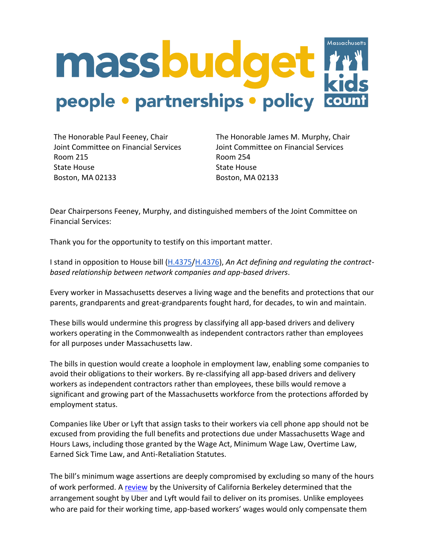

The Honorable Paul Feeney, Chair Joint Committee on Financial Services Room 215 State House Boston, MA 02133

The Honorable James M. Murphy, Chair Joint Committee on Financial Services Room 254 State House Boston, MA 02133

Dear Chairpersons Feeney, Murphy, and distinguished members of the Joint Committee on Financial Services:

Thank you for the opportunity to testify on this important matter.

I stand in opposition to House bill [\(H.4375/](https://malegislature.gov/Bills/192/H4375)[H.4376\)](https://malegislature.gov/Bills/192/H4376), *An Act defining and regulating the contractbased relationship between network companies and app-based drivers*.

Every worker in Massachusetts deserves a living wage and the benefits and protections that our parents, grandparents and great-grandparents fought hard, for decades, to win and maintain.

These bills would undermine this progress by classifying all app-based drivers and delivery workers operating in the Commonwealth as independent contractors rather than employees for all purposes under Massachusetts law.

The bills in question would create a loophole in employment law, enabling some companies to avoid their obligations to their workers. By re-classifying all app-based drivers and delivery workers as independent contractors rather than employees, these bills would remove a significant and growing part of the Massachusetts workforce from the protections afforded by employment status.

Companies like Uber or Lyft that assign tasks to their workers via cell phone app should not be excused from providing the full benefits and protections due under Massachusetts Wage and Hours Laws, including those granted by the Wage Act, Minimum Wage Law, Overtime Law, Earned Sick Time Law, and Anti-Retaliation Statutes.

The bill's minimum wage assertions are deeply compromised by excluding so many of the hours of work performed. A [review](https://laborcenter.berkeley.edu/mass-uber-lyft-ballot-proposition-would-create-subminimum-wage/) by the University of California Berkeley determined that the arrangement sought by Uber and Lyft would fail to deliver on its promises. Unlike employees who are paid for their working time, app-based workers' wages would only compensate them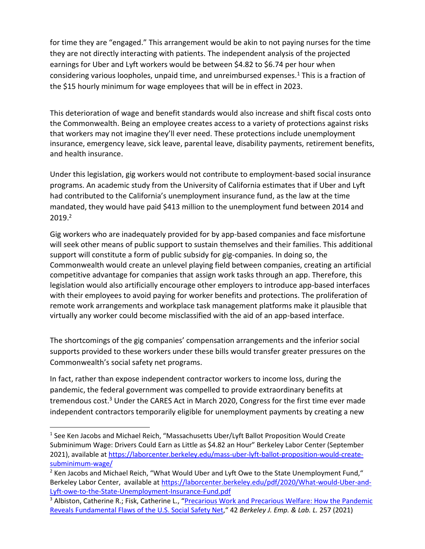for time they are "engaged." This arrangement would be akin to not paying nurses for the time they are not directly interacting with patients. The independent analysis of the projected earnings for Uber and Lyft workers would be between \$4.82 to \$6.74 per hour when considering various loopholes, unpaid time, and unreimbursed expenses.<sup>1</sup> This is a fraction of the \$15 hourly minimum for wage employees that will be in effect in 2023.

This deterioration of wage and benefit standards would also increase and shift fiscal costs onto the Commonwealth. Being an employee creates access to a variety of protections against risks that workers may not imagine they'll ever need. These protections include unemployment insurance, emergency leave, sick leave, parental leave, disability payments, retirement benefits, and health insurance.

Under this legislation, gig workers would not contribute to employment-based social insurance programs. An academic study from the University of California estimates that if Uber and Lyft had contributed to the California's unemployment insurance fund, as the law at the time mandated, they would have paid \$413 million to the unemployment fund between 2014 and 2019.<sup>2</sup>

Gig workers who are inadequately provided for by app-based companies and face misfortune will seek other means of public support to sustain themselves and their families. This additional support will constitute a form of public subsidy for gig-companies. In doing so, the Commonwealth would create an unlevel playing field between companies, creating an artificial competitive advantage for companies that assign work tasks through an app. Therefore, this legislation would also artificially encourage other employers to introduce app-based interfaces with their employees to avoid paying for worker benefits and protections. The proliferation of remote work arrangements and workplace task management platforms make it plausible that virtually any worker could become misclassified with the aid of an app-based interface.

The shortcomings of the gig companies' compensation arrangements and the inferior social supports provided to these workers under these bills would transfer greater pressures on the Commonwealth's social safety net programs.

In fact, rather than expose independent contractor workers to income loss, during the pandemic, the federal government was compelled to provide extraordinary benefits at tremendous cost.<sup>3</sup> Under the CARES Act in March 2020, Congress for the first time ever made independent contractors temporarily eligible for unemployment payments by creating a new

<sup>&</sup>lt;sup>1</sup> See Ken Jacobs and Michael Reich, "Massachusetts Uber/Lyft Ballot Proposition Would Create Subminimum Wage: Drivers Could Earn as Little as \$4.82 an Hour" Berkeley Labor Center (September 2021), available a[t https://laborcenter.berkeley.edu/mass-uber-lyft-ballot-proposition-would-create](https://laborcenter.berkeley.edu/mass-uber-lyft-ballot-proposition-would-create-subminimum-wage/)[subminimum-wage/](https://laborcenter.berkeley.edu/mass-uber-lyft-ballot-proposition-would-create-subminimum-wage/)

<sup>&</sup>lt;sup>2</sup> Ken Jacobs and Michael Reich, "What Would Uber and Lyft Owe to the State Unemployment Fund," Berkeley Labor Center, available at [https://laborcenter.berkeley.edu/pdf/2020/What-would-Uber-and-](https://laborcenter.berkeley.edu/pdf/2020/What-would-Uber-and-Lyft-owe-to-the-State-Unemployment-Insurance-Fund.pdf)[Lyft-owe-to-the-State-Unemployment-Insurance-Fund.pdf](https://laborcenter.berkeley.edu/pdf/2020/What-would-Uber-and-Lyft-owe-to-the-State-Unemployment-Insurance-Fund.pdf)

<sup>&</sup>lt;sup>3</sup> Albiston, Catherine R.; Fisk, Catherine L., "Precarious Work and Precarious Welfare: How the Pandemic [Reveals Fundamental Flaws of the U.S. Social Safety Net](https://lawcat.berkeley.edu/record/1212920)," 42 *Berkeley J. Emp. & Lab. L.* 257 (2021)